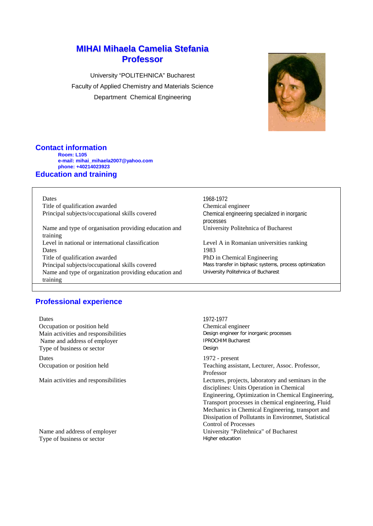# **MIHAI Mihaela Camelia Stefania Professor**

University "POLITEHNICA" Bucharest Faculty of Applied Chemistry and Materials Science Department Chemical Engineering



## **Contact information**

**Room: L105 e-mail: mihai\_mihaela2007@yahoo.com phone: +40214023923**

## **Education and training**

training

Title of qualification awarded Chemical engineer Principal subjects/occupational skills covered Chemical engineering specialized in inorganic

Name and type of organisation providing education and training Level in national or international classification Level A in Romanian universities ranking Dates 1983 Title of qualification awarded<br>
PhD in Chemical Engineering<br>
PhD in Chemical Engineering<br>
Mass transfer in biphasic systems, process optimization Principal subjects/occupational skills covered Name and type of organization providing education and

## **Professional experience**

Dates 1972-1977 Occupation or position held<br>
Main activities and responsibilities<br>
Main activities and responsibilities<br>
Chemical engineer for inorganic processes Main activities and responsibilities **Design engineer for inorganic processes**<br>
Name and address of employer<br> **EXECUTE PROCHIM Bucharest** Name and address of employer **IPROCH**<br>Type of business or sector **Design** Type of business or sector Dates 1972 - present

Type of business or sector

Dates 1968-1972 processes University Politehnica of Bucharest

University Politehnica of Bucharest

Occupation or position held Teaching assistant, Lecturer, Assoc. Professor, Professor Main activities and responsibilities Lectures, projects, laboratory and seminars in the disciplines: Units Operation in Chemical Engineering, Optimization in Chemical Engineering, Transport processes in chemical engineering, Fluid Mechanics in Chemical Engineering, transport and Dissipation of Pollutants in Environmet, Statistical Control of Processes Name and address of employer University "Politehnica" of Bucharest<br>Type of business or sector Higher education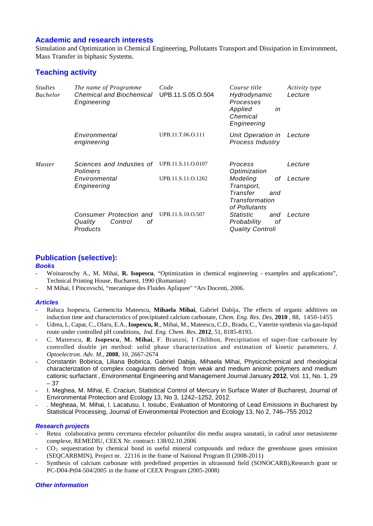## **Academic and research interests**

Simulation and Optimization in Chemical Engineering, Pollutants Transport and Dissipation in Environment, Mass Transfer in biphasic Systems.

## **Teaching activity**

| <i>Studies</i><br><b>Bachelor</b> | The name of Programme<br>Chemical and Biochemical<br><b>Engineering</b>      | Code<br>UPB.11.S.05.O.504                | Course title<br>Hydrodynamic<br>Processes<br>Applied<br>in<br>Chemical<br>Engineering        | Activity type<br>Lecture |
|-----------------------------------|------------------------------------------------------------------------------|------------------------------------------|----------------------------------------------------------------------------------------------|--------------------------|
|                                   | Environmental<br>engineering                                                 | UPB.11.T.06.O.111                        | Unit Operation in<br>Process Industry                                                        | Lecture                  |
| <i>Master</i>                     | Sciences and Industies of<br>Polimers<br>Environmental<br><b>Engineering</b> | UPB.11.S.11.O.0107<br>UPB.11.S.11.O.1202 | Process<br>Optimization<br>Modeling<br>οf<br>Transport,<br>Transfer<br>and<br>Transformation | Lecture<br>Lecture       |
|                                   | Consumer Protection and<br>Quality<br>Control<br>οf<br>Products              | UPB.11.S.10.O.507                        | of Pollutants<br><b>Statistic</b><br>and<br>Probability<br>οf<br><b>Quality Controli</b>     | Lecture                  |

### **Publication (selective):**

#### *Books*

- Woinaroschy A., M. Mihai, **R. Isopescu**, "Optimization in chemical engineering examples and applications", Technical Printing House, Bucharest, 1990 (Romanian)
- M Mihai, I Pincovschi, "mecanique des Fluides Apliquee" "Ars Docenti, 2006.

### *Articles*

- Raluca Isopescu, Carmencita Mateescu, **Mihaela Mihai**, Gabriel Dabija, The effects of organic additives on induction time and characteristics of precipitated calcium carbonate, *Chem. Eng. Res. Des,* **2010** *,* 88*,* 1450-1455
- Udrea, I., Capat, C., Olaru, E.A., **Isopescu, R**., Mihai, M., Mateescu, C.D., Bradu, C., Vaterite synthesis via gas-liquid route under controlled pH conditions, *Ind. Eng. Chem. Res*. **2012**, 51, 8185-8193.
- C. Mateescu, *R. Isopescu*, **M. Mihai**, F. Branzoi, I Chilibon, Precipitation of super-fine carbonate by controlled double jet method: solid phase characterization and estimation of kinetic parameters, *J. Optoelectron. Adv. M.,* **2008**, 10, 2667-2674
- Constantin Bobirica, Liliana Bobirica, Gabriel Dabija, Mihaela Mihai, Physicochemical and rheological characterization of complex coagulants derived from weak and medium anionic polymers and medium cationic surfactant , Environmental Engineering and Management Journal January **2012**, Vol. 11, No. 1, 29 – 37
- I. Meghea, M. Mihai, E. Craciun, Statistical Control of Mercury in Surface Water of Bucharest, Journal of Environmental Protection and Ecology 13, No 3, 1242–1252, 2012.
- . Megheaa, M. Mihai, I. Lacatusu, I. Iosubc, Evaluation of Monitoring of Lead Emissions in Bucharest by Statistical Processing, Journal of Environmental Protection and Ecology 13, No 2, 746–755 2012

#### *Research projects*

- Retea colaborativa pentru cercetarea efectelor poluantilor din mediu asupra sanatatii, in cadrul unor metasisteme complexe, REMEDIU, CEEX Nr. contract: 138/02.10.2006
- $CO<sub>2</sub>$  sequestration by chemical bond in useful mineral compounds and reduce the greenhouse gases emission (SEQCARBMIN), Project nr. 22116 in the frame of National Program II (2008-2011)
- Synthesis of calcium carbonate with predefined properties in ultrasound field (SONOCARB),Research grant nr PC-D04-Pt04-504/2005 in the frame of CEEX Program (2005-2008)

#### *Other information*